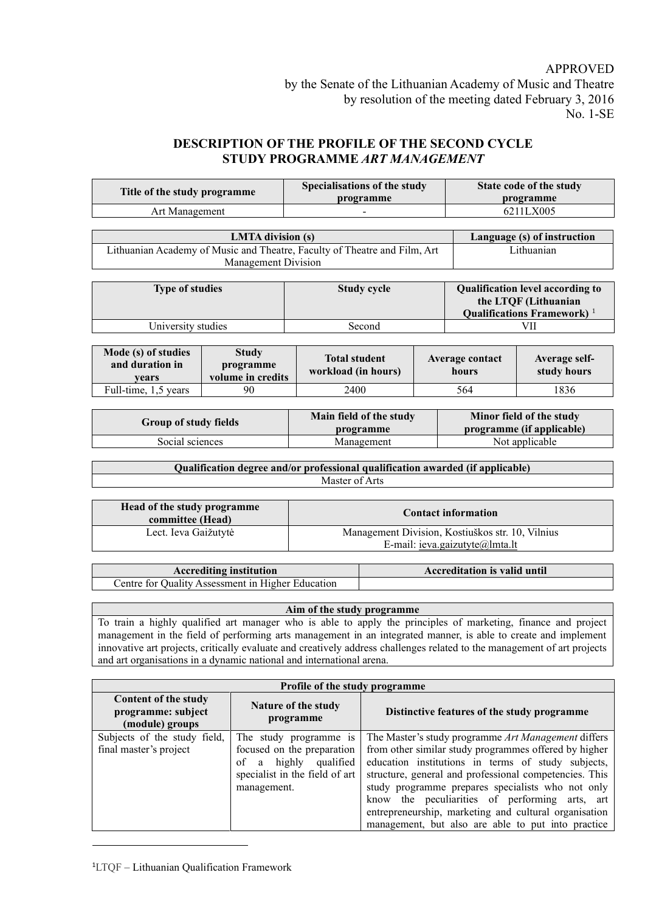## APPROVED

**State code of the study programme**

management, but also are able to put into practice

## **DESCRIPTION OF THE PROFILE OF THE SECOND CYCLE STUDY PROGRAMME** *ART MANAGEMENT*

**programme**

**Title of the study programme Specialisations of the study** 

| <b>LMTA</b> division (s)<br>Language (s) of instruction<br>Lithuanian Academy of Music and Theatre, Faculty of Theatre and Film, Art<br>Lithuanian<br>Management Division<br>Qualification level according to<br><b>Type of studies</b><br>Study cycle<br>the LTQF (Lithuanian<br>Qualifications Framework) <sup>1</sup><br>University studies<br>VII<br>Second<br>Mode (s) of studies<br><b>Study</b><br>Average contact<br><b>Total student</b><br>Average self-<br>and duration in<br>programme<br>workload (in hours)<br>study hours<br>hours<br>volume in credits<br>vears<br>Full-time, 1,5 years<br>2400<br>564<br>1836<br>90<br>Minor field of the study<br>Main field of the study<br><b>Group of study fields</b><br>programme (if applicable)<br>programme<br>Not applicable<br>Social sciences<br>Management<br>Qualification degree and/or professional qualification awarded (if applicable)<br>Master of Arts<br>Head of the study programme<br><b>Contact information</b><br>committee (Head)<br>Management Division, Kostiuškos str. 10, Vilnius<br>Lect. Ieva Gaižutytė<br>E-mail: ieva.gaizutyte@lmta.lt<br><b>Accrediting institution</b><br><b>Accreditation is valid until</b><br>Centre for Quality Assessment in Higher Education<br>Aim of the study programme<br>To train a highly qualified art manager who is able to apply the principles of marketing, finance and project<br>management in the field of performing arts management in an integrated manner, is able to create and implement<br>innovative art projects, critically evaluate and creatively address challenges related to the management of art projects<br>and art organisations in a dynamic national and international arena.<br>Profile of the study programme<br>Content of the study<br>Nature of the study<br>programme: subject<br>Distinctive features of the study programme<br>programme<br>(module) groups<br>Subjects of the study field,<br>The study programme is<br>The Master's study programme Art Management differs<br>final master's project<br>focused on the preparation<br>from other similar study programmes offered by higher<br>education institutions in terms of study subjects,<br>highly qualified<br>of<br>$\rm{a}$<br>specialist in the field of art<br>structure, general and professional competencies. This<br>study programme prepares specialists who not only<br>management.<br>know the peculiarities of performing arts, art | Art Management |  |  |  |  | 6211LX005 |  |  |
|----------------------------------------------------------------------------------------------------------------------------------------------------------------------------------------------------------------------------------------------------------------------------------------------------------------------------------------------------------------------------------------------------------------------------------------------------------------------------------------------------------------------------------------------------------------------------------------------------------------------------------------------------------------------------------------------------------------------------------------------------------------------------------------------------------------------------------------------------------------------------------------------------------------------------------------------------------------------------------------------------------------------------------------------------------------------------------------------------------------------------------------------------------------------------------------------------------------------------------------------------------------------------------------------------------------------------------------------------------------------------------------------------------------------------------------------------------------------------------------------------------------------------------------------------------------------------------------------------------------------------------------------------------------------------------------------------------------------------------------------------------------------------------------------------------------------------------------------------------------------------------------------------------------------------------------------------------------------------------------------------------------------------------------------------------------------------------------------------------------------------------------------------------------------------------------------------------------------------------------------------------------------------------------------------------------------------------------------------------------------------------------------------------------------------------------------------------------------|----------------|--|--|--|--|-----------|--|--|
|                                                                                                                                                                                                                                                                                                                                                                                                                                                                                                                                                                                                                                                                                                                                                                                                                                                                                                                                                                                                                                                                                                                                                                                                                                                                                                                                                                                                                                                                                                                                                                                                                                                                                                                                                                                                                                                                                                                                                                                                                                                                                                                                                                                                                                                                                                                                                                                                                                                                      |                |  |  |  |  |           |  |  |
|                                                                                                                                                                                                                                                                                                                                                                                                                                                                                                                                                                                                                                                                                                                                                                                                                                                                                                                                                                                                                                                                                                                                                                                                                                                                                                                                                                                                                                                                                                                                                                                                                                                                                                                                                                                                                                                                                                                                                                                                                                                                                                                                                                                                                                                                                                                                                                                                                                                                      |                |  |  |  |  |           |  |  |
|                                                                                                                                                                                                                                                                                                                                                                                                                                                                                                                                                                                                                                                                                                                                                                                                                                                                                                                                                                                                                                                                                                                                                                                                                                                                                                                                                                                                                                                                                                                                                                                                                                                                                                                                                                                                                                                                                                                                                                                                                                                                                                                                                                                                                                                                                                                                                                                                                                                                      |                |  |  |  |  |           |  |  |
|                                                                                                                                                                                                                                                                                                                                                                                                                                                                                                                                                                                                                                                                                                                                                                                                                                                                                                                                                                                                                                                                                                                                                                                                                                                                                                                                                                                                                                                                                                                                                                                                                                                                                                                                                                                                                                                                                                                                                                                                                                                                                                                                                                                                                                                                                                                                                                                                                                                                      |                |  |  |  |  |           |  |  |
|                                                                                                                                                                                                                                                                                                                                                                                                                                                                                                                                                                                                                                                                                                                                                                                                                                                                                                                                                                                                                                                                                                                                                                                                                                                                                                                                                                                                                                                                                                                                                                                                                                                                                                                                                                                                                                                                                                                                                                                                                                                                                                                                                                                                                                                                                                                                                                                                                                                                      |                |  |  |  |  |           |  |  |
|                                                                                                                                                                                                                                                                                                                                                                                                                                                                                                                                                                                                                                                                                                                                                                                                                                                                                                                                                                                                                                                                                                                                                                                                                                                                                                                                                                                                                                                                                                                                                                                                                                                                                                                                                                                                                                                                                                                                                                                                                                                                                                                                                                                                                                                                                                                                                                                                                                                                      |                |  |  |  |  |           |  |  |
|                                                                                                                                                                                                                                                                                                                                                                                                                                                                                                                                                                                                                                                                                                                                                                                                                                                                                                                                                                                                                                                                                                                                                                                                                                                                                                                                                                                                                                                                                                                                                                                                                                                                                                                                                                                                                                                                                                                                                                                                                                                                                                                                                                                                                                                                                                                                                                                                                                                                      |                |  |  |  |  |           |  |  |
|                                                                                                                                                                                                                                                                                                                                                                                                                                                                                                                                                                                                                                                                                                                                                                                                                                                                                                                                                                                                                                                                                                                                                                                                                                                                                                                                                                                                                                                                                                                                                                                                                                                                                                                                                                                                                                                                                                                                                                                                                                                                                                                                                                                                                                                                                                                                                                                                                                                                      |                |  |  |  |  |           |  |  |
|                                                                                                                                                                                                                                                                                                                                                                                                                                                                                                                                                                                                                                                                                                                                                                                                                                                                                                                                                                                                                                                                                                                                                                                                                                                                                                                                                                                                                                                                                                                                                                                                                                                                                                                                                                                                                                                                                                                                                                                                                                                                                                                                                                                                                                                                                                                                                                                                                                                                      |                |  |  |  |  |           |  |  |
|                                                                                                                                                                                                                                                                                                                                                                                                                                                                                                                                                                                                                                                                                                                                                                                                                                                                                                                                                                                                                                                                                                                                                                                                                                                                                                                                                                                                                                                                                                                                                                                                                                                                                                                                                                                                                                                                                                                                                                                                                                                                                                                                                                                                                                                                                                                                                                                                                                                                      |                |  |  |  |  |           |  |  |
|                                                                                                                                                                                                                                                                                                                                                                                                                                                                                                                                                                                                                                                                                                                                                                                                                                                                                                                                                                                                                                                                                                                                                                                                                                                                                                                                                                                                                                                                                                                                                                                                                                                                                                                                                                                                                                                                                                                                                                                                                                                                                                                                                                                                                                                                                                                                                                                                                                                                      |                |  |  |  |  |           |  |  |
|                                                                                                                                                                                                                                                                                                                                                                                                                                                                                                                                                                                                                                                                                                                                                                                                                                                                                                                                                                                                                                                                                                                                                                                                                                                                                                                                                                                                                                                                                                                                                                                                                                                                                                                                                                                                                                                                                                                                                                                                                                                                                                                                                                                                                                                                                                                                                                                                                                                                      |                |  |  |  |  |           |  |  |
|                                                                                                                                                                                                                                                                                                                                                                                                                                                                                                                                                                                                                                                                                                                                                                                                                                                                                                                                                                                                                                                                                                                                                                                                                                                                                                                                                                                                                                                                                                                                                                                                                                                                                                                                                                                                                                                                                                                                                                                                                                                                                                                                                                                                                                                                                                                                                                                                                                                                      |                |  |  |  |  |           |  |  |
|                                                                                                                                                                                                                                                                                                                                                                                                                                                                                                                                                                                                                                                                                                                                                                                                                                                                                                                                                                                                                                                                                                                                                                                                                                                                                                                                                                                                                                                                                                                                                                                                                                                                                                                                                                                                                                                                                                                                                                                                                                                                                                                                                                                                                                                                                                                                                                                                                                                                      |                |  |  |  |  |           |  |  |
|                                                                                                                                                                                                                                                                                                                                                                                                                                                                                                                                                                                                                                                                                                                                                                                                                                                                                                                                                                                                                                                                                                                                                                                                                                                                                                                                                                                                                                                                                                                                                                                                                                                                                                                                                                                                                                                                                                                                                                                                                                                                                                                                                                                                                                                                                                                                                                                                                                                                      |                |  |  |  |  |           |  |  |
|                                                                                                                                                                                                                                                                                                                                                                                                                                                                                                                                                                                                                                                                                                                                                                                                                                                                                                                                                                                                                                                                                                                                                                                                                                                                                                                                                                                                                                                                                                                                                                                                                                                                                                                                                                                                                                                                                                                                                                                                                                                                                                                                                                                                                                                                                                                                                                                                                                                                      |                |  |  |  |  |           |  |  |
|                                                                                                                                                                                                                                                                                                                                                                                                                                                                                                                                                                                                                                                                                                                                                                                                                                                                                                                                                                                                                                                                                                                                                                                                                                                                                                                                                                                                                                                                                                                                                                                                                                                                                                                                                                                                                                                                                                                                                                                                                                                                                                                                                                                                                                                                                                                                                                                                                                                                      |                |  |  |  |  |           |  |  |
|                                                                                                                                                                                                                                                                                                                                                                                                                                                                                                                                                                                                                                                                                                                                                                                                                                                                                                                                                                                                                                                                                                                                                                                                                                                                                                                                                                                                                                                                                                                                                                                                                                                                                                                                                                                                                                                                                                                                                                                                                                                                                                                                                                                                                                                                                                                                                                                                                                                                      |                |  |  |  |  |           |  |  |
|                                                                                                                                                                                                                                                                                                                                                                                                                                                                                                                                                                                                                                                                                                                                                                                                                                                                                                                                                                                                                                                                                                                                                                                                                                                                                                                                                                                                                                                                                                                                                                                                                                                                                                                                                                                                                                                                                                                                                                                                                                                                                                                                                                                                                                                                                                                                                                                                                                                                      |                |  |  |  |  |           |  |  |
|                                                                                                                                                                                                                                                                                                                                                                                                                                                                                                                                                                                                                                                                                                                                                                                                                                                                                                                                                                                                                                                                                                                                                                                                                                                                                                                                                                                                                                                                                                                                                                                                                                                                                                                                                                                                                                                                                                                                                                                                                                                                                                                                                                                                                                                                                                                                                                                                                                                                      |                |  |  |  |  |           |  |  |
|                                                                                                                                                                                                                                                                                                                                                                                                                                                                                                                                                                                                                                                                                                                                                                                                                                                                                                                                                                                                                                                                                                                                                                                                                                                                                                                                                                                                                                                                                                                                                                                                                                                                                                                                                                                                                                                                                                                                                                                                                                                                                                                                                                                                                                                                                                                                                                                                                                                                      |                |  |  |  |  |           |  |  |
|                                                                                                                                                                                                                                                                                                                                                                                                                                                                                                                                                                                                                                                                                                                                                                                                                                                                                                                                                                                                                                                                                                                                                                                                                                                                                                                                                                                                                                                                                                                                                                                                                                                                                                                                                                                                                                                                                                                                                                                                                                                                                                                                                                                                                                                                                                                                                                                                                                                                      |                |  |  |  |  |           |  |  |
|                                                                                                                                                                                                                                                                                                                                                                                                                                                                                                                                                                                                                                                                                                                                                                                                                                                                                                                                                                                                                                                                                                                                                                                                                                                                                                                                                                                                                                                                                                                                                                                                                                                                                                                                                                                                                                                                                                                                                                                                                                                                                                                                                                                                                                                                                                                                                                                                                                                                      |                |  |  |  |  |           |  |  |
|                                                                                                                                                                                                                                                                                                                                                                                                                                                                                                                                                                                                                                                                                                                                                                                                                                                                                                                                                                                                                                                                                                                                                                                                                                                                                                                                                                                                                                                                                                                                                                                                                                                                                                                                                                                                                                                                                                                                                                                                                                                                                                                                                                                                                                                                                                                                                                                                                                                                      |                |  |  |  |  |           |  |  |
|                                                                                                                                                                                                                                                                                                                                                                                                                                                                                                                                                                                                                                                                                                                                                                                                                                                                                                                                                                                                                                                                                                                                                                                                                                                                                                                                                                                                                                                                                                                                                                                                                                                                                                                                                                                                                                                                                                                                                                                                                                                                                                                                                                                                                                                                                                                                                                                                                                                                      |                |  |  |  |  |           |  |  |
|                                                                                                                                                                                                                                                                                                                                                                                                                                                                                                                                                                                                                                                                                                                                                                                                                                                                                                                                                                                                                                                                                                                                                                                                                                                                                                                                                                                                                                                                                                                                                                                                                                                                                                                                                                                                                                                                                                                                                                                                                                                                                                                                                                                                                                                                                                                                                                                                                                                                      |                |  |  |  |  |           |  |  |
|                                                                                                                                                                                                                                                                                                                                                                                                                                                                                                                                                                                                                                                                                                                                                                                                                                                                                                                                                                                                                                                                                                                                                                                                                                                                                                                                                                                                                                                                                                                                                                                                                                                                                                                                                                                                                                                                                                                                                                                                                                                                                                                                                                                                                                                                                                                                                                                                                                                                      |                |  |  |  |  |           |  |  |
|                                                                                                                                                                                                                                                                                                                                                                                                                                                                                                                                                                                                                                                                                                                                                                                                                                                                                                                                                                                                                                                                                                                                                                                                                                                                                                                                                                                                                                                                                                                                                                                                                                                                                                                                                                                                                                                                                                                                                                                                                                                                                                                                                                                                                                                                                                                                                                                                                                                                      |                |  |  |  |  |           |  |  |
|                                                                                                                                                                                                                                                                                                                                                                                                                                                                                                                                                                                                                                                                                                                                                                                                                                                                                                                                                                                                                                                                                                                                                                                                                                                                                                                                                                                                                                                                                                                                                                                                                                                                                                                                                                                                                                                                                                                                                                                                                                                                                                                                                                                                                                                                                                                                                                                                                                                                      |                |  |  |  |  |           |  |  |
|                                                                                                                                                                                                                                                                                                                                                                                                                                                                                                                                                                                                                                                                                                                                                                                                                                                                                                                                                                                                                                                                                                                                                                                                                                                                                                                                                                                                                                                                                                                                                                                                                                                                                                                                                                                                                                                                                                                                                                                                                                                                                                                                                                                                                                                                                                                                                                                                                                                                      |                |  |  |  |  |           |  |  |
|                                                                                                                                                                                                                                                                                                                                                                                                                                                                                                                                                                                                                                                                                                                                                                                                                                                                                                                                                                                                                                                                                                                                                                                                                                                                                                                                                                                                                                                                                                                                                                                                                                                                                                                                                                                                                                                                                                                                                                                                                                                                                                                                                                                                                                                                                                                                                                                                                                                                      |                |  |  |  |  |           |  |  |
|                                                                                                                                                                                                                                                                                                                                                                                                                                                                                                                                                                                                                                                                                                                                                                                                                                                                                                                                                                                                                                                                                                                                                                                                                                                                                                                                                                                                                                                                                                                                                                                                                                                                                                                                                                                                                                                                                                                                                                                                                                                                                                                                                                                                                                                                                                                                                                                                                                                                      |                |  |  |  |  |           |  |  |
|                                                                                                                                                                                                                                                                                                                                                                                                                                                                                                                                                                                                                                                                                                                                                                                                                                                                                                                                                                                                                                                                                                                                                                                                                                                                                                                                                                                                                                                                                                                                                                                                                                                                                                                                                                                                                                                                                                                                                                                                                                                                                                                                                                                                                                                                                                                                                                                                                                                                      |                |  |  |  |  |           |  |  |
|                                                                                                                                                                                                                                                                                                                                                                                                                                                                                                                                                                                                                                                                                                                                                                                                                                                                                                                                                                                                                                                                                                                                                                                                                                                                                                                                                                                                                                                                                                                                                                                                                                                                                                                                                                                                                                                                                                                                                                                                                                                                                                                                                                                                                                                                                                                                                                                                                                                                      |                |  |  |  |  |           |  |  |
|                                                                                                                                                                                                                                                                                                                                                                                                                                                                                                                                                                                                                                                                                                                                                                                                                                                                                                                                                                                                                                                                                                                                                                                                                                                                                                                                                                                                                                                                                                                                                                                                                                                                                                                                                                                                                                                                                                                                                                                                                                                                                                                                                                                                                                                                                                                                                                                                                                                                      |                |  |  |  |  |           |  |  |
|                                                                                                                                                                                                                                                                                                                                                                                                                                                                                                                                                                                                                                                                                                                                                                                                                                                                                                                                                                                                                                                                                                                                                                                                                                                                                                                                                                                                                                                                                                                                                                                                                                                                                                                                                                                                                                                                                                                                                                                                                                                                                                                                                                                                                                                                                                                                                                                                                                                                      |                |  |  |  |  |           |  |  |
|                                                                                                                                                                                                                                                                                                                                                                                                                                                                                                                                                                                                                                                                                                                                                                                                                                                                                                                                                                                                                                                                                                                                                                                                                                                                                                                                                                                                                                                                                                                                                                                                                                                                                                                                                                                                                                                                                                                                                                                                                                                                                                                                                                                                                                                                                                                                                                                                                                                                      |                |  |  |  |  |           |  |  |
|                                                                                                                                                                                                                                                                                                                                                                                                                                                                                                                                                                                                                                                                                                                                                                                                                                                                                                                                                                                                                                                                                                                                                                                                                                                                                                                                                                                                                                                                                                                                                                                                                                                                                                                                                                                                                                                                                                                                                                                                                                                                                                                                                                                                                                                                                                                                                                                                                                                                      |                |  |  |  |  |           |  |  |
|                                                                                                                                                                                                                                                                                                                                                                                                                                                                                                                                                                                                                                                                                                                                                                                                                                                                                                                                                                                                                                                                                                                                                                                                                                                                                                                                                                                                                                                                                                                                                                                                                                                                                                                                                                                                                                                                                                                                                                                                                                                                                                                                                                                                                                                                                                                                                                                                                                                                      |                |  |  |  |  |           |  |  |
|                                                                                                                                                                                                                                                                                                                                                                                                                                                                                                                                                                                                                                                                                                                                                                                                                                                                                                                                                                                                                                                                                                                                                                                                                                                                                                                                                                                                                                                                                                                                                                                                                                                                                                                                                                                                                                                                                                                                                                                                                                                                                                                                                                                                                                                                                                                                                                                                                                                                      |                |  |  |  |  |           |  |  |
|                                                                                                                                                                                                                                                                                                                                                                                                                                                                                                                                                                                                                                                                                                                                                                                                                                                                                                                                                                                                                                                                                                                                                                                                                                                                                                                                                                                                                                                                                                                                                                                                                                                                                                                                                                                                                                                                                                                                                                                                                                                                                                                                                                                                                                                                                                                                                                                                                                                                      |                |  |  |  |  |           |  |  |
|                                                                                                                                                                                                                                                                                                                                                                                                                                                                                                                                                                                                                                                                                                                                                                                                                                                                                                                                                                                                                                                                                                                                                                                                                                                                                                                                                                                                                                                                                                                                                                                                                                                                                                                                                                                                                                                                                                                                                                                                                                                                                                                                                                                                                                                                                                                                                                                                                                                                      |                |  |  |  |  |           |  |  |
|                                                                                                                                                                                                                                                                                                                                                                                                                                                                                                                                                                                                                                                                                                                                                                                                                                                                                                                                                                                                                                                                                                                                                                                                                                                                                                                                                                                                                                                                                                                                                                                                                                                                                                                                                                                                                                                                                                                                                                                                                                                                                                                                                                                                                                                                                                                                                                                                                                                                      |                |  |  |  |  |           |  |  |
|                                                                                                                                                                                                                                                                                                                                                                                                                                                                                                                                                                                                                                                                                                                                                                                                                                                                                                                                                                                                                                                                                                                                                                                                                                                                                                                                                                                                                                                                                                                                                                                                                                                                                                                                                                                                                                                                                                                                                                                                                                                                                                                                                                                                                                                                                                                                                                                                                                                                      |                |  |  |  |  |           |  |  |
| entrepreneurship, marketing and cultural organisation                                                                                                                                                                                                                                                                                                                                                                                                                                                                                                                                                                                                                                                                                                                                                                                                                                                                                                                                                                                                                                                                                                                                                                                                                                                                                                                                                                                                                                                                                                                                                                                                                                                                                                                                                                                                                                                                                                                                                                                                                                                                                                                                                                                                                                                                                                                                                                                                                |                |  |  |  |  |           |  |  |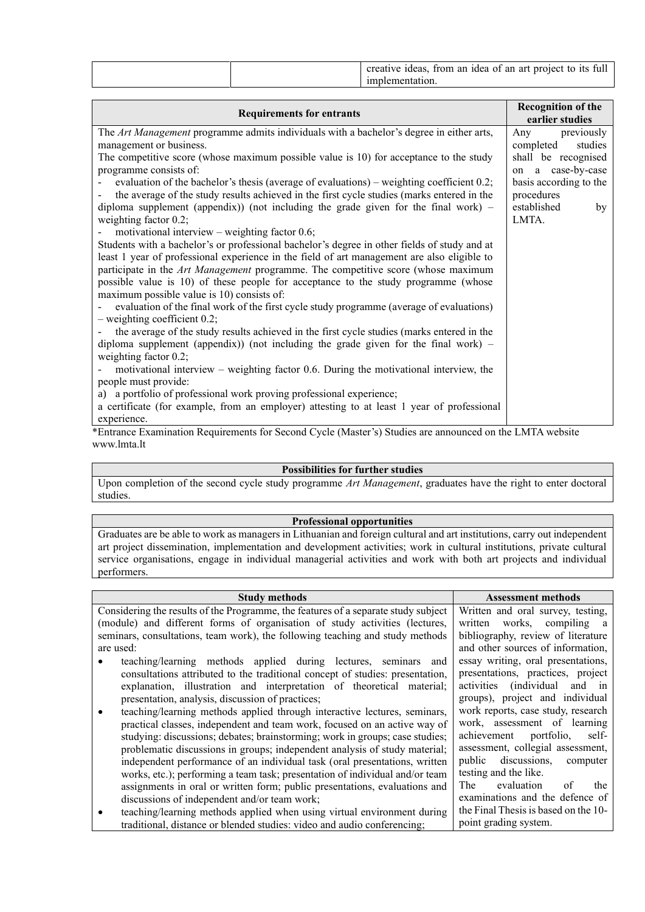|--|

| <b>Requirements for entrants</b>                                                                         | <b>Recognition of the</b><br>earlier studies |
|----------------------------------------------------------------------------------------------------------|----------------------------------------------|
| The Art Management programme admits individuals with a bachelor's degree in either arts,                 | Any<br>previously                            |
| management or business.                                                                                  | completed<br>studies                         |
| The competitive score (whose maximum possible value is 10) for acceptance to the study                   | shall be recognised                          |
| programme consists of:                                                                                   | on a case-by-case                            |
| evaluation of the bachelor's thesis (average of evaluations) – weighting coefficient 0.2;                | basis according to the                       |
| the average of the study results achieved in the first cycle studies (marks entered in the               | procedures                                   |
| diploma supplement (appendix)) (not including the grade given for the final work) $-$                    | established<br>by                            |
| weighting factor 0.2;                                                                                    | LMTA.                                        |
| motivational interview – weighting factor $0.6$ ;                                                        |                                              |
| Students with a bachelor's or professional bachelor's degree in other fields of study and at             |                                              |
| least 1 year of professional experience in the field of art management are also eligible to              |                                              |
| participate in the Art Management programme. The competitive score (whose maximum                        |                                              |
| possible value is 10) of these people for acceptance to the study programme (whose                       |                                              |
| maximum possible value is 10) consists of:                                                               |                                              |
| evaluation of the final work of the first cycle study programme (average of evaluations)                 |                                              |
| $-$ weighting coefficient 0.2;                                                                           |                                              |
| the average of the study results achieved in the first cycle studies (marks entered in the               |                                              |
| diploma supplement (appendix)) (not including the grade given for the final work) $-$                    |                                              |
| weighting factor 0.2;                                                                                    |                                              |
| motivational interview – weighting factor 0.6. During the motivational interview, the                    |                                              |
| people must provide:                                                                                     |                                              |
| a portfolio of professional work proving professional experience;<br>a)                                  |                                              |
| a certificate (for example, from an employer) attesting to at least 1 year of professional               |                                              |
| experience.                                                                                              |                                              |
| *Entropeo Examination Dequirements for Second Cycle (Master's) Studies are announced on the LMTA website |                                              |

\*Entrance Examination Requirements for Second Cycle (Master's) Studies are announced on the LMTA website www.lmta.lt

## **Possibilities for further studies**

Upon completion of the second cycle study programme *Art Management*, graduates have the right to enter doctoral studies.

## **Professional opportunities**

Graduates are be able to work as managers in Lithuanian and foreign cultural and art institutions, carry out independent art project dissemination, implementation and development activities; work in cultural institutions, private cultural service organisations, engage in individual managerial activities and work with both art projects and individual performers.

| <b>Study methods</b>                                                               | <b>Assessment methods</b>                   |
|------------------------------------------------------------------------------------|---------------------------------------------|
| Considering the results of the Programme, the features of a separate study subject | Written and oral survey, testing,           |
| (module) and different forms of organisation of study activities (lectures,        | written works, compiling a                  |
| seminars, consultations, team work), the following teaching and study methods      | bibliography, review of literature          |
| are used:                                                                          | and other sources of information,           |
| teaching/learning methods applied during lectures, seminars and                    | essay writing, oral presentations,          |
| consultations attributed to the traditional concept of studies: presentation,      | presentations, practices, project           |
| explanation, illustration and interpretation of theoretical material;              | activities (individual<br>and in            |
| presentation, analysis, discussion of practices;                                   | groups), project and individual             |
| teaching/learning methods applied through interactive lectures, seminars,          | work reports, case study, research          |
| practical classes, independent and team work, focused on an active way of          | work, assessment of learning                |
| studying: discussions; debates; brainstorming; work in groups; case studies;       | achievement portfolio,<br>self-             |
| problematic discussions in groups; independent analysis of study material;         | assessment, collegial assessment,           |
| independent performance of an individual task (oral presentations, written         | public discussions, computer                |
| works, etc.); performing a team task; presentation of individual and/or team       | testing and the like.                       |
| assignments in oral or written form; public presentations, evaluations and         | evaluation<br>of<br>the<br>The <sub>1</sub> |
| discussions of independent and/or team work;                                       | examinations and the defence of             |
| teaching/learning methods applied when using virtual environment during            | the Final Thesis is based on the 10-        |
| traditional, distance or blended studies: video and audio conferencing;            | point grading system.                       |